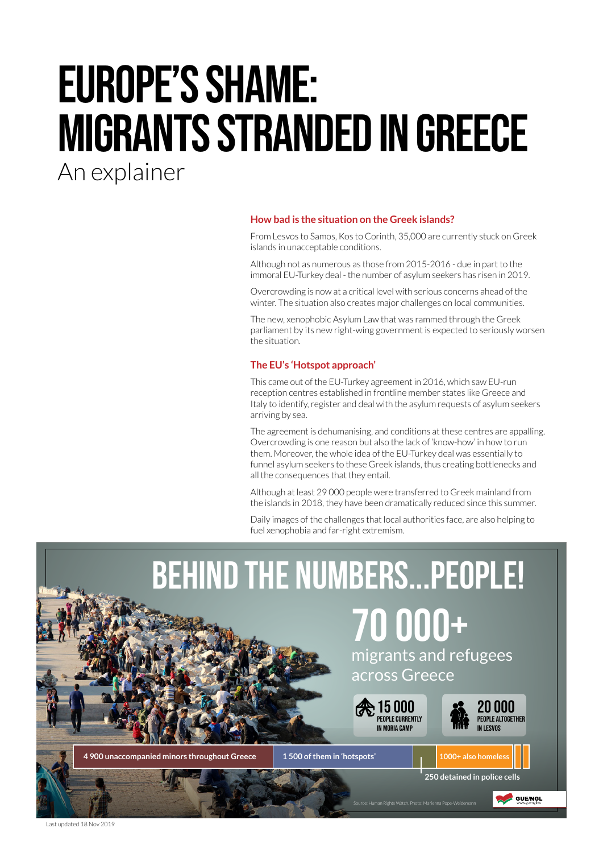# EUROPE'S SHAME: MIGRANTS stranded IN GREECE

An explainer

# **How bad is the situation on the Greek islands?**

From Lesvos to Samos, Kos to Corinth, [35,000 a](https://www.theguardian.com/world/2019/nov/01/greece-passes-asylum-law-aimed-at-curbing-migrant-arrivals)re currently stuck on Greek islands in unacceptable conditions.

Although not as numerous as those from 2015-2016 - due in part to the immoral EU-Turkey deal - the number of asylum seekers has risen in 2019.

Overcrowding is now at a critical level with serious concerns ahead of the winter. The situation also creates major challenges on local communities.

The new, xenophobic Asylum Law that was rammed through the Greek parliament by its new right-wing government is expected to seriously worsen the situation.

# **The EU's 'Hotspot approach'**

This came out of the EU-Turkey agreement in 2016, which saw EU-run reception centres established in frontline member states like Greece and Italy to identify, register and deal with the asylum requests of asylum seekers arriving by sea.

The agreement is dehumanising, and conditions at these centres are appalling. Overcrowding is one reason but also the lack of 'know-how' in how to run them. Moreover, the whole idea of the EU-Turkey deal was essentially to funnel asylum seekers to these Greek islands, thus creating bottlenecks and all the consequences that they entail.

Although at least 29 000 people were transferred to Greek mainland from the islands in 2018, they have been dramatically reduced since this summer.

Daily images of the challenges that local authorities face, are also helping to fuel xenophobia and far-right extremism.



Last updated 18 Nov 2019